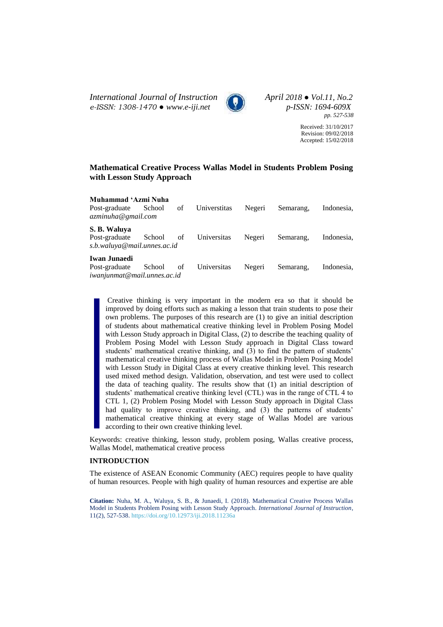*International Journal of Instruction April 2018 ● Vol.11, No.2 e-ISSN: 1308-1470 ● [www.e-iji.net](http://www.e-iji.net/) p-ISSN: 1694-609X*



*pp. 527-538*

Received: 31/10/2017 Revision: 09/02/2018 Accepted: 15/02/2018

# **Mathematical Creative Process Wallas Model in Students Problem Posing with Lesson Study Approach**

| Muhammad 'Azmi Nuha<br>Post-graduate<br>azminuha@gmail.com          | School of | Universtitas          | Negeri | Semarang, | Indonesia, |
|---------------------------------------------------------------------|-----------|-----------------------|--------|-----------|------------|
| S. B. Waluya<br>Post-graduate<br>s.b.waluya@mail.unnes.ac.id        |           | School of Universitas | Negeri | Semarang, | Indonesia. |
| <b>Iwan Junaedi</b><br>Post-graduate<br>iwanjunmat@mail.unnes.ac.id | School of | Universitas           | Negeri | Semarang, | Indonesia. |

Creative thinking is very important in the modern era so that it should be improved by doing efforts such as making a lesson that train students to pose their own problems. The purposes of this research are (1) to give an initial description of students about mathematical creative thinking level in Problem Posing Model with Lesson Study approach in Digital Class, (2) to describe the teaching quality of Problem Posing Model with Lesson Study approach in Digital Class toward students' mathematical creative thinking, and (3) to find the pattern of students' mathematical creative thinking process of Wallas Model in Problem Posing Model with Lesson Study in Digital Class at every creative thinking level. This research used mixed method design. Validation, observation, and test were used to collect the data of teaching quality. The results show that (1) an initial description of students' mathematical creative thinking level (CTL) was in the range of CTL 4 to CTL 1, (2) Problem Posing Model with Lesson Study approach in Digital Class had quality to improve creative thinking, and (3) the patterns of students' mathematical creative thinking at every stage of Wallas Model are various according to their own creative thinking level.

Keywords: creative thinking, lesson study, problem posing, Wallas creative process, Wallas Model, mathematical creative process

# **INTRODUCTION**

The existence of ASEAN Economic Community (AEC) requires people to have quality of human resources. People with high quality of human resources and expertise are able

**Citation:** Nuha, M. A., Waluya, S. B., & Junaedi, I. (2018). Mathematical Creative Process Wallas Model in Students Problem Posing with Lesson Study Approach. *International Journal of Instruction*, 11(2), 527-538. <https://doi.org/10.12973/iji.2018.11236a>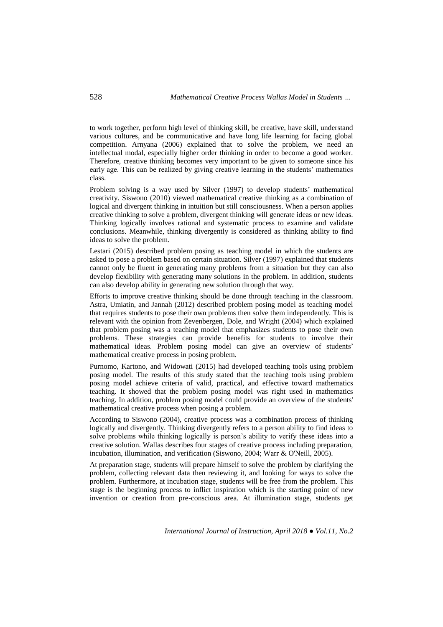to work together, perform high level of thinking skill, be creative, have skill, understand various cultures, and be communicative and have long life learning for facing global competition. Arnyana (2006) explained that to solve the problem, we need an intellectual modal, especially higher order thinking in order to become a good worker. Therefore, creative thinking becomes very important to be given to someone since his early age. This can be realized by giving creative learning in the students' mathematics class.

Problem solving is a way used by Silver (1997) to develop students' mathematical creativity. Siswono (2010) viewed mathematical creative thinking as a combination of logical and divergent thinking in intuition but still consciousness. When a person applies creative thinking to solve a problem, divergent thinking will generate ideas or new ideas. Thinking logically involves rational and systematic process to examine and validate conclusions. Meanwhile, thinking divergently is considered as thinking ability to find ideas to solve the problem.

Lestari (2015) described problem posing as teaching model in which the students are asked to pose a problem based on certain situation. Silver (1997) explained that students cannot only be fluent in generating many problems from a situation but they can also develop flexibility with generating many solutions in the problem. In addition, students can also develop ability in generating new solution through that way.

Efforts to improve creative thinking should be done through teaching in the classroom. Astra, Umiatin, and Jannah (2012) described problem posing model as teaching model that requires students to pose their own problems then solve them independently. This is relevant with the opinion from Zevenbergen, Dole, and Wright (2004) which explained that problem posing was a teaching model that emphasizes students to pose their own problems. These strategies can provide benefits for students to involve their mathematical ideas. Problem posing model can give an overview of students' mathematical creative process in posing problem.

Purnomo, Kartono, and Widowati (2015) had developed teaching tools using problem posing model. The results of this study stated that the teaching tools using problem posing model achieve criteria of valid, practical, and effective toward mathematics teaching. It showed that the problem posing model was right used in mathematics teaching. In addition, problem posing model could provide an overview of the students' mathematical creative process when posing a problem.

According to Siswono (2004), creative process was a combination process of thinking logically and divergently. Thinking divergently refers to a person ability to find ideas to solve problems while thinking logically is person's ability to verify these ideas into a creative solution. Wallas describes four stages of creative process including preparation, incubation, illumination, and verification (Siswono, 2004; Warr & O'Neill, 2005).

At preparation stage, students will prepare himself to solve the problem by clarifying the problem, collecting relevant data then reviewing it, and looking for ways to solve the problem. Furthermore, at incubation stage, students will be free from the problem. This stage is the beginning process to inflict inspiration which is the starting point of new invention or creation from pre-conscious area. At illumination stage, students get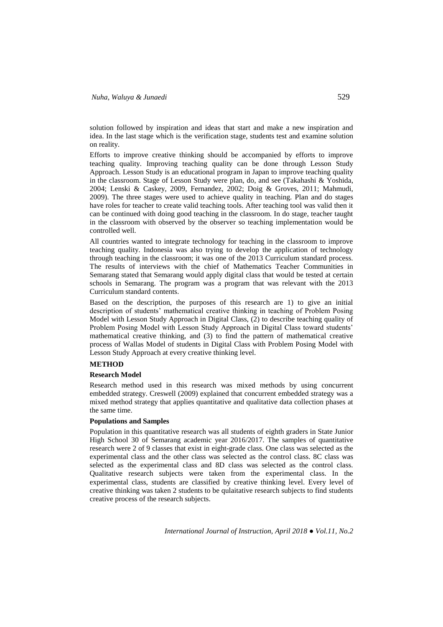solution followed by inspiration and ideas that start and make a new inspiration and idea. In the last stage which is the verification stage, students test and examine solution on reality.

Efforts to improve creative thinking should be accompanied by efforts to improve teaching quality. Improving teaching quality can be done through Lesson Study Approach. Lesson Study is an educational program in Japan to improve teaching quality in the classroom. Stage of Lesson Study were plan, do, and see (Takahashi & Yoshida, 2004; Lenski & Caskey, 2009, Fernandez, 2002; Doig & Groves, 2011; Mahmudi, 2009). The three stages were used to achieve quality in teaching. Plan and do stages have roles for teacher to create valid teaching tools. After teaching tool was valid then it can be continued with doing good teaching in the classroom. In do stage, teacher taught in the classroom with observed by the observer so teaching implementation would be controlled well.

All countries wanted to integrate technology for teaching in the classroom to improve teaching quality. Indonesia was also trying to develop the application of technology through teaching in the classroom; it was one of the 2013 Curriculum standard process. The results of interviews with the chief of Mathematics Teacher Communities in Semarang stated that Semarang would apply digital class that would be tested at certain schools in Semarang. The program was a program that was relevant with the 2013 Curriculum standard contents.

Based on the description, the purposes of this research are 1) to give an initial description of students' mathematical creative thinking in teaching of Problem Posing Model with Lesson Study Approach in Digital Class, (2) to describe teaching quality of Problem Posing Model with Lesson Study Approach in Digital Class toward students' mathematical creative thinking, and (3) to find the pattern of mathematical creative process of Wallas Model of students in Digital Class with Problem Posing Model with Lesson Study Approach at every creative thinking level.

# **METHOD**

### **Research Model**

Research method used in this research was mixed methods by using concurrent embedded strategy. Creswell (2009) explained that concurrent embedded strategy was a mixed method strategy that applies quantitative and qualitative data collection phases at the same time.

### **Populations and Samples**

Population in this quantitative research was all students of eighth graders in State Junior High School 30 of Semarang academic year 2016/2017. The samples of quantitative research were 2 of 9 classes that exist in eight-grade class. One class was selected as the experimental class and the other class was selected as the control class. 8C class was selected as the experimental class and 8D class was selected as the control class. Qualitative research subjects were taken from the experimental class. In the experimental class, students are classified by creative thinking level. Every level of creative thinking was taken 2 students to be qulaitative research subjects to find students creative process of the research subjects.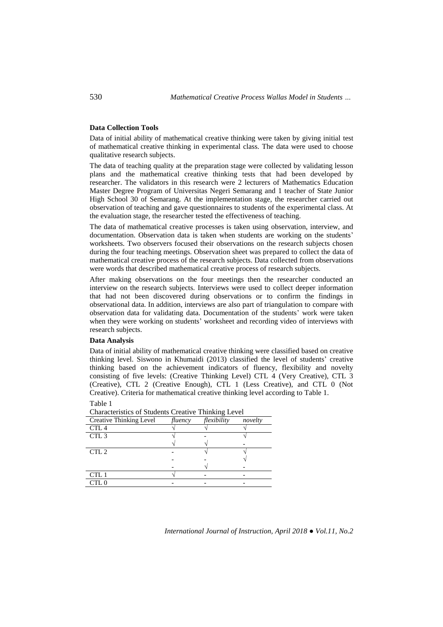# **Data Collection Tools**

Data of initial ability of mathematical creative thinking were taken by giving initial test of mathematical creative thinking in experimental class. The data were used to choose qualitative research subjects.

The data of teaching quality at the preparation stage were collected by validating lesson plans and the mathematical creative thinking tests that had been developed by researcher. The validators in this research were 2 lecturers of Mathematics Education Master Degree Program of Universitas Negeri Semarang and 1 teacher of State Junior High School 30 of Semarang. At the implementation stage, the researcher carried out observation of teaching and gave questionnaires to students of the experimental class. At the evaluation stage, the researcher tested the effectiveness of teaching.

The data of mathematical creative processes is taken using observation, interview, and documentation. Observation data is taken when students are working on the students' worksheets. Two observers focused their observations on the research subjects chosen during the four teaching meetings. Observation sheet was prepared to collect the data of mathematical creative process of the research subjects. Data collected from observations were words that described mathematical creative process of research subjects.

After making observations on the four meetings then the researcher conducted an interview on the research subjects. Interviews were used to collect deeper information that had not been discovered during observations or to confirm the findings in observational data. In addition, interviews are also part of triangulation to compare with observation data for validating data. Documentation of the students' work were taken when they were working on students' worksheet and recording video of interviews with research subjects.

### **Data Analysis**

Data of initial ability of mathematical creative thinking were classified based on creative thinking level. Siswono in Khumaidi (2013) classified the level of students' creative thinking based on the achievement indicators of fluency, flexibility and novelty consisting of five levels: (Creative Thinking Level) CTL 4 (Very Creative), CTL 3 (Creative), CTL 2 (Creative Enough), CTL 1 (Less Creative), and CTL 0 (Not Creative). Criteria for mathematical creative thinking level according to Table 1. Table 1

| <b>Characteristics of Students Creative Thinking Level</b> |         |             |         |
|------------------------------------------------------------|---------|-------------|---------|
| Creative Thinking Level                                    | fluency | flexibility | novelty |
| CTL <sub>4</sub>                                           |         |             |         |
| CTL <sub>3</sub>                                           |         |             |         |
|                                                            |         |             |         |
| CTL <sub>2</sub>                                           |         |             |         |
|                                                            |         |             |         |
|                                                            |         |             |         |
| CTL 1                                                      |         |             |         |
|                                                            |         |             |         |
|                                                            |         |             |         |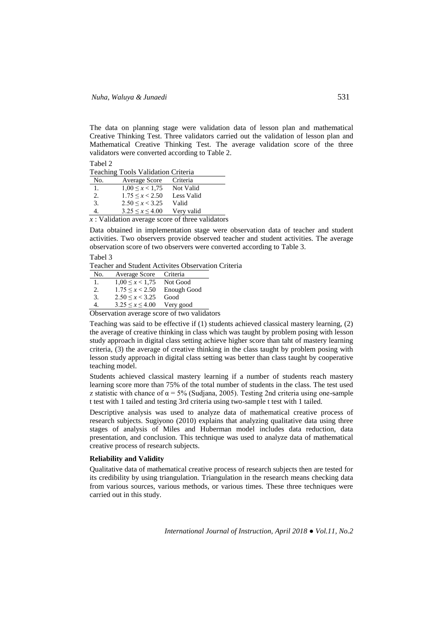The data on planning stage were validation data of lesson plan and mathematical Creative Thinking Test. Three validators carried out the validation of lesson plan and Mathematical Creative Thinking Test. The average validation score of the three validators were converted according to Table 2.

| łΓ<br>ι٣<br>г. |
|----------------|
|----------------|

|     | Teaching Tools Validation Criteria |                                                 |
|-----|------------------------------------|-------------------------------------------------|
| No. | Average Score                      | Criteria                                        |
| 1.  | $1,00 \leq x < 1.75$               | Not Valid                                       |
| 2.  | $1.75 \le x \le 2.50$              | Less Valid                                      |
| 3.  | $2.50 \le x \le 3.25$              | Valid                                           |
| 4.  | $3.25 \le x \le 4.00$              | Very valid                                      |
|     |                                    | x: Validation average score of three validators |

Data obtained in implementation stage were observation data of teacher and student activities. Two observers provide observed teacher and student activities. The average observation score of two observers were converted according to Table 3.

Tabel 3

Teacher and Student Activites Observation Criteria

| No.                                     | Average Score Criteria          |             |
|-----------------------------------------|---------------------------------|-------------|
| 1.                                      | $1,00 \leq x < 1,75$            | Not Good    |
| 2.                                      | $1.75 \le x \le 2.50$           | Enough Good |
| 3.                                      | $2.50 \le x \le 3.25$           | Good        |
| 4.                                      | $3.25 \le x \le 4.00$ Very good |             |
| Observation average seems of two valids |                                 |             |

Observation average score of two validators

Teaching was said to be effective if (1) students achieved classical mastery learning, (2) the average of creative thinking in class which was taught by problem posing with lesson study approach in digital class setting achieve higher score than taht of mastery learning criteria, (3) the average of creative thinking in the class taught by problem posing with lesson study approach in digital class setting was better than class taught by cooperative teaching model.

Students achieved classical mastery learning if a number of students reach mastery learning score more than 75% of the total number of students in the class. The test used z statistic with chance of  $\alpha = 5\%$  (Sudjana, 2005). Testing 2nd criteria using one-sample t test with 1 tailed and testing 3rd criteria using two-sample t test with 1 tailed.

Descriptive analysis was used to analyze data of mathematical creative process of research subjects. Sugiyono (2010) explains that analyzing qualitative data using three stages of analysis of Miles and Huberman model includes data reduction, data presentation, and conclusion. This technique was used to analyze data of mathematical creative process of research subjects.

#### **Reliability and Validity**

Qualitative data of mathematical creative process of research subjects then are tested for its credibility by using triangulation. Triangulation in the research means checking data from various sources, various methods, or various times. These three techniques were carried out in this study.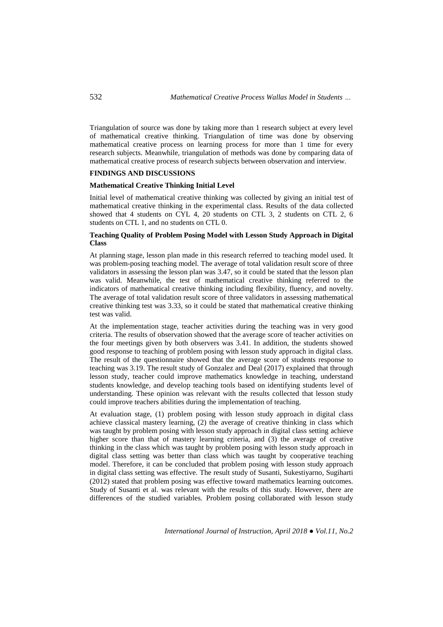Triangulation of source was done by taking more than 1 research subject at every level of mathematical creative thinking. Triangulation of time was done by observing mathematical creative process on learning process for more than 1 time for every research subjects. Meanwhile, triangulation of methods was done by comparing data of mathematical creative process of research subjects between observation and interview.

# **FINDINGS AND DISCUSSIONS**

#### **Mathematical Creative Thinking Initial Level**

Initial level of mathematical creative thinking was collected by giving an initial test of mathematical creative thinking in the experimental class. Results of the data collected showed that 4 students on CYL 4, 20 students on CTL 3, 2 students on CTL 2, 6 students on CTL 1, and no students on CTL 0.

# **Teaching Quality of Problem Posing Model with Lesson Study Approach in Digital Class**

At planning stage, lesson plan made in this research referred to teaching model used. It was problem-posing teaching model. The average of total validation result score of three validators in assessing the lesson plan was 3.47, so it could be stated that the lesson plan was valid. Meanwhile, the test of mathematical creative thinking referred to the indicators of mathematical creative thinking including flexibility, fluency, and novelty. The average of total validation result score of three validators in assessing mathematical creative thinking test was 3.33, so it could be stated that mathematical creative thinking test was valid.

At the implementation stage, teacher activities during the teaching was in very good criteria. The results of observation showed that the average score of teacher activities on the four meetings given by both observers was 3.41. In addition, the students showed good response to teaching of problem posing with lesson study approach in digital class. The result of the questionnaire showed that the average score of students response to teaching was 3.19. The result study of Gonzalez and Deal (2017) explained that through lesson study, teacher could improve mathematics knowledge in teaching, understand students knowledge, and develop teaching tools based on identifying students level of understanding. These opinion was relevant with the results collected that lesson study could improve teachers abilities during the implementation of teaching.

At evaluation stage, (1) problem posing with lesson study approach in digital class achieve classical mastery learning, (2) the average of creative thinking in class which was taught by problem posing with lesson study approach in digital class setting achieve higher score than that of mastery learning criteria, and (3) the average of creative thinking in the class which was taught by problem posing with lesson study approach in digital class setting was better than class which was taught by cooperative teaching model. Therefore, it can be concluded that problem posing with lesson study approach in digital class setting was effective. The result study of Susanti, Sukestiyarno, Sugiharti (2012) stated that problem posing was effective toward mathematics learning outcomes. Study of Susanti et al. was relevant with the results of this study. However, there are differences of the studied variables. Problem posing collaborated with lesson study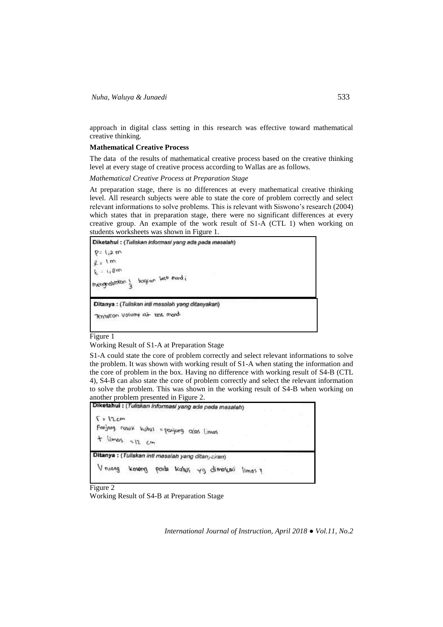approach in digital class setting in this research was effective toward mathematical creative thinking.

### **Mathematical Creative Process**

The data of the results of mathematical creative process based on the creative thinking level at every stage of creative process according to Wallas are as follows.

# *Mathematical Creative Process at Preparation Stage*

At preparation stage, there is no differences at every mathematical creative thinking level. All research subjects were able to state the core of problem correctly and select relevant informations to solve problems. This is relevant with Siswono's research (2004) which states that in preparation stage, there were no significant differences at every creative group. An example of the work result of S1-A (CTL 1) when working on students worksheets was shown in Figure 1.

Diketahui : (Tuliskan informasi yang ada pada masalah)

 $P = 1.2$  m  $l:Im$  $6:1800$ bogian late mardi mengrabition }

Ditanya : (Tuliskan inti masalah yang ditanyakan)

Tentucon volume at bot mord.

#### Figure 1

### Working Result of S1-A at Preparation Stage

S1-A could state the core of problem correctly and select relevant informations to solve the problem. It was shown with working result of S1-A when stating the information and the core of problem in the box. Having no difference with working result of S4-B (CTL 4), S4-B can also state the core of problem correctly and select the relevant information to solve the problem. This was shown in the working result of S4-B when working on



Figure 2

Working Result of S4-B at Preparation Stage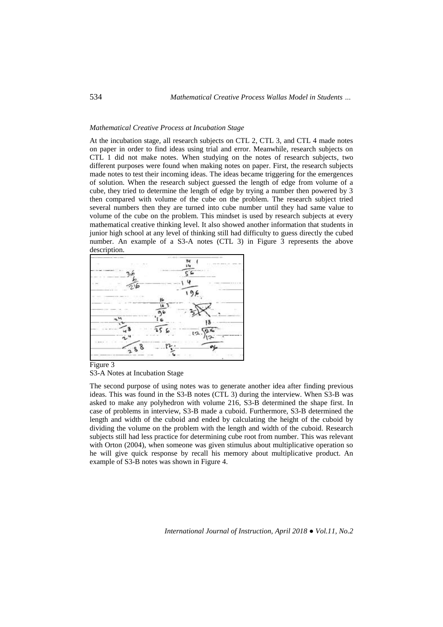#### *Mathematical Creative Process at Incubation Stage*

At the incubation stage, all research subjects on CTL 2, CTL 3, and CTL 4 made notes on paper in order to find ideas using trial and error. Meanwhile, research subjects on CTL 1 did not make notes. When studying on the notes of research subjects, two different purposes were found when making notes on paper. First, the research subjects made notes to test their incoming ideas. The ideas became triggering for the emergences of solution. When the research subject guessed the length of edge from volume of a cube, they tried to determine the length of edge by trying a number then powered by 3 then compared with volume of the cube on the problem. The research subject tried several numbers then they are turned into cube number until they had same value to volume of the cube on the problem. This mindset is used by research subjects at every mathematical creative thinking level. It also showed another information that students in junior high school at any level of thinking still had difficulty to guess directly the cubed number. An example of a S3-A notes (CTL 3) in Figure 3 represents the above description.



Figure 3 S3-A Notes at Incubation Stage

The second purpose of using notes was to generate another idea after finding previous ideas. This was found in the S3-B notes (CTL 3) during the interview. When S3-B was asked to make any polyhedron with volume 216, S3-B determined the shape first. In case of problems in interview, S3-B made a cuboid. Furthermore, S3-B determined the length and width of the cuboid and ended by calculating the height of the cuboid by dividing the volume on the problem with the length and width of the cuboid. Research subjects still had less practice for determining cube root from number. This was relevant with Orton (2004), when someone was given stimulus about multiplicative operation so he will give quick response by recall his memory about multiplicative product. An example of S3-B notes was shown in Figure 4.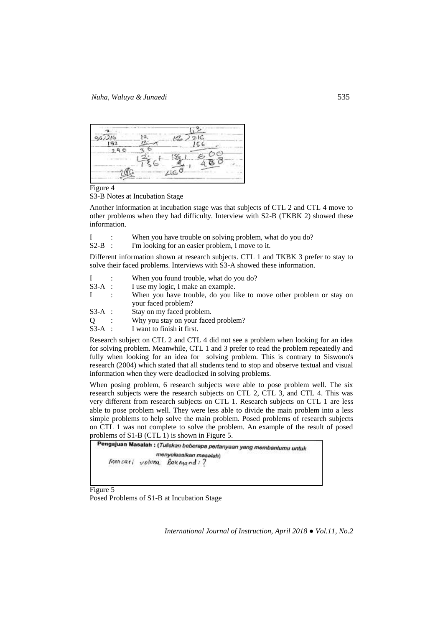

Figure 4

S3-B Notes at Incubation Stage

Another information at incubation stage was that subjects of CTL 2 and CTL 4 move to other problems when they had difficulty. Interview with S2-B (TKBK 2) showed these information.

|  |  |  |  | When you have trouble on solving problem, what do you do? |
|--|--|--|--|-----------------------------------------------------------|
|--|--|--|--|-----------------------------------------------------------|

S2-B : I'm looking for an easier problem, I move to it.

Different information shown at research subjects. CTL 1 and TKBK 3 prefer to stay to solve their faced problems. Interviews with S3-A showed these information.

| $\mathbf{I}$ | When you found trouble, what do you do?                             |
|--------------|---------------------------------------------------------------------|
| $S3-A$ :     | I use my logic, I make an example.                                  |
| $\mathbf{I}$ | When you have trouble, do you like to move other problem or stay on |
|              | your faced problem?                                                 |
| $S3-A$ :     | Stay on my faced problem.                                           |
| $\Omega$     | Why you stay on your faced problem?                                 |
| $S3-A$ :     | I want to finish it first.                                          |

Research subject on CTL 2 and CTL 4 did not see a problem when looking for an idea for solving problem. Meanwhile, CTL 1 and 3 prefer to read the problem repeatedly and fully when looking for an idea for solving problem. This is contrary to Siswono's research (2004) which stated that all students tend to stop and observe textual and visual information when they were deadlocked in solving problems.

When posing problem, 6 research subjects were able to pose problem well. The six research subjects were the research subjects on CTL 2, CTL 3, and CTL 4. This was very different from research subjects on CTL 1. Research subjects on CTL 1 are less able to pose problem well. They were less able to divide the main problem into a less simple problems to help solve the main problem. Posed problems of research subjects on CTL 1 was not complete to solve the problem. An example of the result of posed



Figure 5

Posed Problems of S1-B at Incubation Stage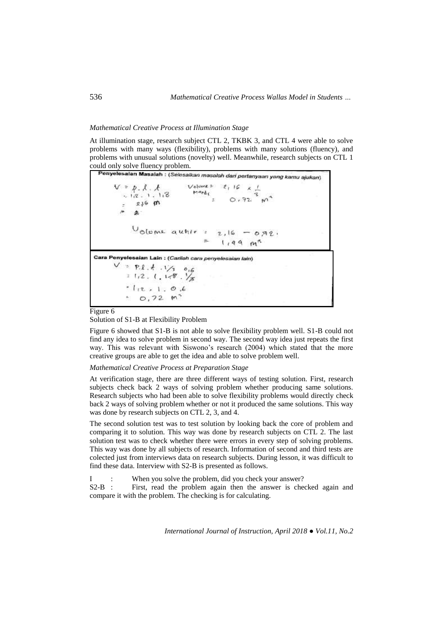### *Mathematical Creative Process at Illumination Stage*

At illumination stage, research subject CTL 2, TKBK 3, and CTL 4 were able to solve problems with many ways (flexibility), problems with many solutions (fluency), and problems with unusual solutions (novelty) well. Meanwhile, research subjects on CTL 1

could only solve fluency problem.<br>Penyelesalan Masalah : (Selesaikan masalah dari pertanyaan yang kamu ajukan) Volume =  $2, 16 x$  $8 - 8 - 8$  $M$ <sup>ard</sup> $t$  $1, 2, 1, 1, 8$  $0.72$  $216$  m Uolome autriv  $16$  $0.719.$ m Cara Penyelesaian Lain : (Carilah cara penyelesaian lain)  $P.R.A.A.1/3 0.6$  $: 1, 2, 1, 1, 8, \frac{1}{8}$  $112.1.04$  $0,72$  m<sup>3</sup>

Figure 6

#### Solution of S1-B at Flexibility Problem

Figure 6 showed that S1-B is not able to solve flexibility problem well. S1-B could not find any idea to solve problem in second way. The second way idea just repeats the first way. This was relevant with Siswono's research (2004) which stated that the more creative groups are able to get the idea and able to solve problem well.

### *Mathematical Creative Process at Preparation Stage*

At verification stage, there are three different ways of testing solution. First, research subjects check back 2 ways of solving problem whether producing same solutions. Research subjects who had been able to solve flexibility problems would directly check back 2 ways of solving problem whether or not it produced the same solutions. This way was done by research subjects on CTL 2, 3, and 4.

The second solution test was to test solution by looking back the core of problem and comparing it to solution. This way was done by research subjects on CTL 2. The last solution test was to check whether there were errors in every step of solving problems. This way was done by all subjects of research. Information of second and third tests are colected just from interviews data on research subjects. During lesson, it was difficult to find these data. Interview with S2-B is presented as follows.

I : When you solve the problem, did you check your answer?

S2-B : First, read the problem again then the answer is checked again and compare it with the problem. The checking is for calculating.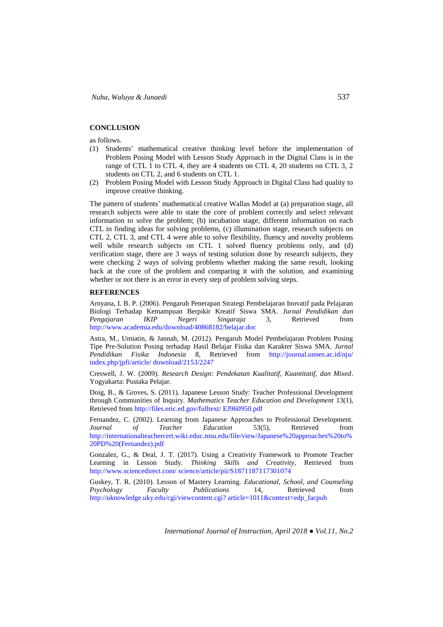### **CONCLUSION**

as follows.

- (1) Students' mathematical creative thinking level before the implementation of Problem Posing Model with Lesson Study Approach in the Digital Class is in the range of CTL 1 to CTL 4, they are 4 students on CTL 4, 20 students on CTL 3, 2 students on CTL 2, and 6 students on CTL 1.
- (2) Problem Posing Model with Lesson Study Approach in Digital Class had quality to improve creative thinking.

The pattern of students' mathematical creative Wallas Model at (a) preparation stage, all research subjects were able to state the core of problem correctly and select relevant information to solve the problem; (b) incubation stage, different information on each CTL in finding ideas for solving problems, (c) illumination stage, research subjects on CTL 2, CTL 3, and CTL 4 were able to solve flexibility, fluency and novelty problems well while research subjects on CTL 1 solved fluency problems only, and (d) verification stage, there are 3 ways of testing solution done by research subjects, they were checking 2 ways of solving problems whether making the same result, looking back at the core of the problem and comparing it with the solution, and examining whether or not there is an error in every step of problem solving steps.

#### **REFERENCES**

Arnyana, I. B. P. (2006). Pengaruh Penerapan Strategi Pembelajaran Inovatif pada Pelajaran Biologi Terhadap Kemampuan Berpikir Kreatif Siswa SMA. *Jurnal Pendidikan dan Pengajaran IKIP Negeri Singaraja* 3, Retrieved from <http://www.academia.edu/download/40868182/belajar.doc>

Astra, M., Umiatin, & Jannah, M. (2012). Pengaruh Model Pembelajaran Problem Posing Tipe Pre-Solution Posing terhadap Hasil Belajar Fisika dan Karakter Siswa SMA. *Jurnal Pendidikan Fisika Indonesia* 8, Retrieved from [http://journal.unnes.ac.id/nju/](http://journal.unnes.ac.id/nju/%20index.php/jpfi/article/%20download/2153/2247)  [index.php/jpfi/article/ download/2153/2247](http://journal.unnes.ac.id/nju/%20index.php/jpfi/article/%20download/2153/2247)

Creswell, J. W. (2009). *Research Design: Pendekatan Kualitatif, Kuantitatif, dan Mixed*. Yogyakarta: Pustaka Pelajar.

Doig, B., & Groves, S. (2011). Japanese Lesson Study: Teacher Professional Development through Communities of Inquiry. *Mathematics Teacher Education and Development* 13(1), Retrieved fro[m http://files.eric.ed.gov/fulltext/ EJ960950.pdf](http://files.eric.ed.gov/fulltext/%20EJ960950.pdf)

Fernandez, C. (2002). Learning from Japanese Approaches to Professional Development. *Journal of Teacher Education* 53(5), Retrieved from [http://internationalteachercert.wiki.educ.msu.edu/file/view/Japanese%20approaches%20to%](http://internationalteachercert.wiki.educ.msu.edu/file/view/Japanese%20approaches%20to%20PD%20(Fernandez).pdf) [20PD%20\(Fernandez\).pdf](http://internationalteachercert.wiki.educ.msu.edu/file/view/Japanese%20approaches%20to%20PD%20(Fernandez).pdf)

Gonzalez, G., & Deal, J. T. (2017). Using a Creativity Framework to Promote Teacher Learning in Lesson Study. *Thinking Skills and Creativity*, Retrieved from [http://www.sciencedirect.com/ science/article/pii/S1871187117301074](http://www.sciencedirect.com/%20science/article/pii/S1871187117301074)

Guskey, T. R. (2010). Lesson of Mastery Learning. *Educational, School, and Counseling Psychology Faculty Publications* 14, Retrieved from [http://uknowledge.uky.edu/cgi/viewcontent.cgi? article=1011&context=edp\\_facpub](http://uknowledge.uky.edu/cgi/viewcontent.cgi?%20article=1011&context=edp_facpub)